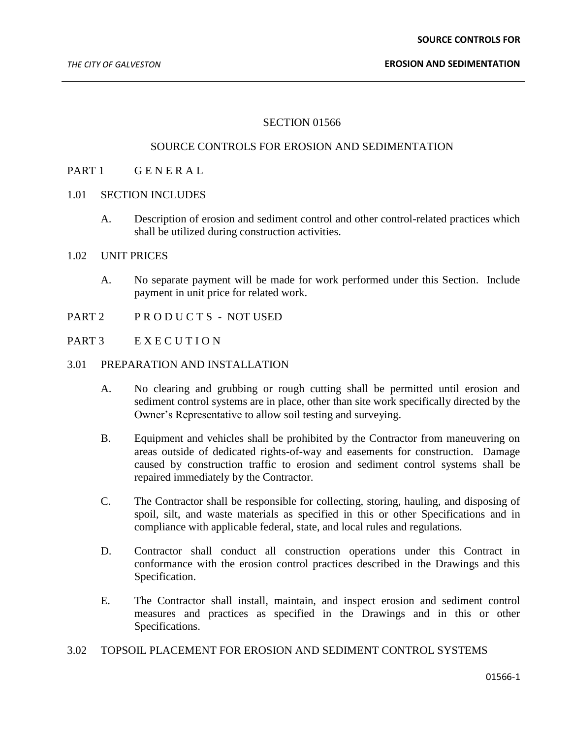### SECTION 01566

### SOURCE CONTROLS FOR EROSION AND SEDIMENTATION

# PART 1 GENERAL

### 1.01 SECTION INCLUDES

A. Description of erosion and sediment control and other control-related practices which shall be utilized during construction activities.

### 1.02 UNIT PRICES

- A. No separate payment will be made for work performed under this Section. Include payment in unit price for related work.
- PART 2 PRODUCTS NOT USED
- PART 3 EXECUTION
- 3.01 PREPARATION AND INSTALLATION
	- A. No clearing and grubbing or rough cutting shall be permitted until erosion and sediment control systems are in place, other than site work specifically directed by the Owner's Representative to allow soil testing and surveying.
	- B. Equipment and vehicles shall be prohibited by the Contractor from maneuvering on areas outside of dedicated rights-of-way and easements for construction. Damage caused by construction traffic to erosion and sediment control systems shall be repaired immediately by the Contractor.
	- C. The Contractor shall be responsible for collecting, storing, hauling, and disposing of spoil, silt, and waste materials as specified in this or other Specifications and in compliance with applicable federal, state, and local rules and regulations.
	- D. Contractor shall conduct all construction operations under this Contract in conformance with the erosion control practices described in the Drawings and this Specification.
	- E. The Contractor shall install, maintain, and inspect erosion and sediment control measures and practices as specified in the Drawings and in this or other Specifications.
- 3.02 TOPSOIL PLACEMENT FOR EROSION AND SEDIMENT CONTROL SYSTEMS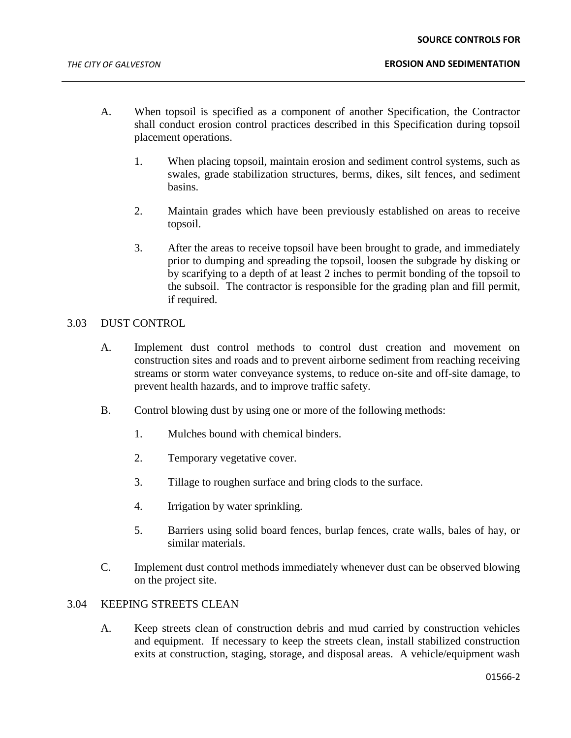#### **SOURCE CONTROLS FOR**

- A. When topsoil is specified as a component of another Specification, the Contractor shall conduct erosion control practices described in this Specification during topsoil placement operations.
	- 1. When placing topsoil, maintain erosion and sediment control systems, such as swales, grade stabilization structures, berms, dikes, silt fences, and sediment basins.
	- 2. Maintain grades which have been previously established on areas to receive topsoil.
	- 3. After the areas to receive topsoil have been brought to grade, and immediately prior to dumping and spreading the topsoil, loosen the subgrade by disking or by scarifying to a depth of at least 2 inches to permit bonding of the topsoil to the subsoil. The contractor is responsible for the grading plan and fill permit, if required.

## 3.03 DUST CONTROL

- A. Implement dust control methods to control dust creation and movement on construction sites and roads and to prevent airborne sediment from reaching receiving streams or storm water conveyance systems, to reduce on-site and off-site damage, to prevent health hazards, and to improve traffic safety.
- B. Control blowing dust by using one or more of the following methods:
	- 1. Mulches bound with chemical binders.
	- 2. Temporary vegetative cover.
	- 3. Tillage to roughen surface and bring clods to the surface.
	- 4. Irrigation by water sprinkling.
	- 5. Barriers using solid board fences, burlap fences, crate walls, bales of hay, or similar materials.
- C. Implement dust control methods immediately whenever dust can be observed blowing on the project site.

## 3.04 KEEPING STREETS CLEAN

A. Keep streets clean of construction debris and mud carried by construction vehicles and equipment. If necessary to keep the streets clean, install stabilized construction exits at construction, staging, storage, and disposal areas. A vehicle/equipment wash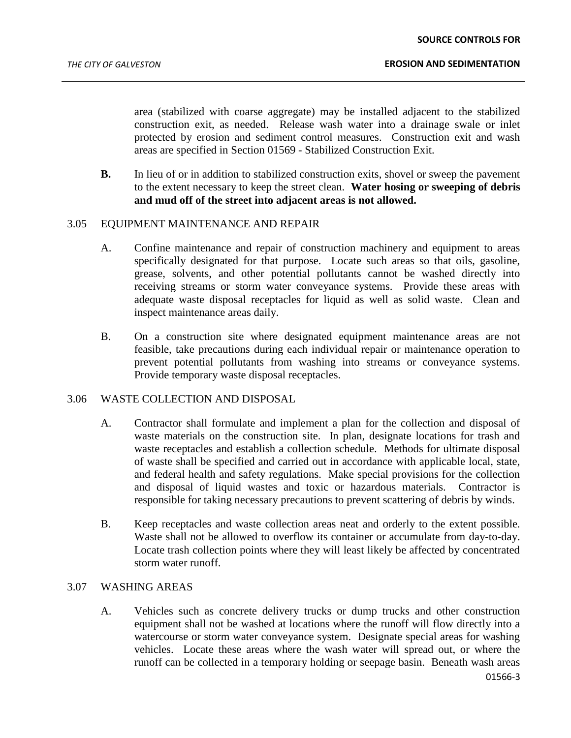area (stabilized with coarse aggregate) may be installed adjacent to the stabilized construction exit, as needed. Release wash water into a drainage swale or inlet protected by erosion and sediment control measures. Construction exit and wash areas are specified in Section 01569 - Stabilized Construction Exit.

**B.** In lieu of or in addition to stabilized construction exits, shovel or sweep the pavement to the extent necessary to keep the street clean. **Water hosing or sweeping of debris and mud off of the street into adjacent areas is not allowed.**

### 3.05 EQUIPMENT MAINTENANCE AND REPAIR

- A. Confine maintenance and repair of construction machinery and equipment to areas specifically designated for that purpose. Locate such areas so that oils, gasoline, grease, solvents, and other potential pollutants cannot be washed directly into receiving streams or storm water conveyance systems. Provide these areas with adequate waste disposal receptacles for liquid as well as solid waste. Clean and inspect maintenance areas daily.
- B. On a construction site where designated equipment maintenance areas are not feasible, take precautions during each individual repair or maintenance operation to prevent potential pollutants from washing into streams or conveyance systems. Provide temporary waste disposal receptacles.

#### 3.06 WASTE COLLECTION AND DISPOSAL

- A. Contractor shall formulate and implement a plan for the collection and disposal of waste materials on the construction site. In plan, designate locations for trash and waste receptacles and establish a collection schedule. Methods for ultimate disposal of waste shall be specified and carried out in accordance with applicable local, state, and federal health and safety regulations. Make special provisions for the collection and disposal of liquid wastes and toxic or hazardous materials. Contractor is responsible for taking necessary precautions to prevent scattering of debris by winds.
- B. Keep receptacles and waste collection areas neat and orderly to the extent possible. Waste shall not be allowed to overflow its container or accumulate from day-to-day. Locate trash collection points where they will least likely be affected by concentrated storm water runoff.

# 3.07 WASHING AREAS

A. Vehicles such as concrete delivery trucks or dump trucks and other construction equipment shall not be washed at locations where the runoff will flow directly into a watercourse or storm water conveyance system. Designate special areas for washing vehicles. Locate these areas where the wash water will spread out, or where the runoff can be collected in a temporary holding or seepage basin. Beneath wash areas